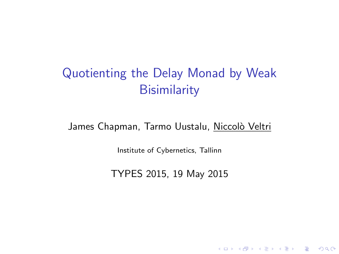# Quotienting the Delay Monad by Weak **Bisimilarity**

James Chapman, Tarmo Uustalu, Niccolò Veltri

Institute of Cybernetics, Tallinn

TYPES 2015, 19 May 2015

**K ロ ▶ K @ ▶ K 할 X X 할 X 및 할 X X Q Q O**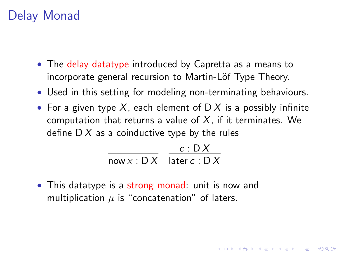#### Delay Monad

- The delay datatype introduced by Capretta as a means to incorporate general recursion to Martin-Löf Type Theory.
- Used in this setting for modeling non-terminating behaviours.
- For a given type X, each element of  $\mathsf{D} X$  is a possibly infinite computation that returns a value of  $X$ , if it terminates. We define  $DX$  as a coinductive type by the rules

**KORKAR KERKER E VOOR** 

$$
\frac{c:DX}{\text{now } x:DX} \quad \frac{c:DX}{\text{later } c:DX}
$$

• This datatype is a strong monad: unit is now and multiplication  $\mu$  is "concatenation" of laters.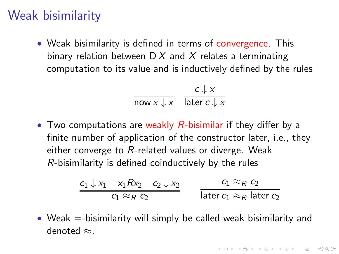### Weak bisimilarity

• Weak bisimilarity is defined in terms of convergence. This binary relation between  $D X$  and X relates a terminating computation to its value and is inductively defined by the rules

$$
\frac{c \downarrow x}{\text{now } x \downarrow x} \quad \frac{c \downarrow x}{\text{later } c \downarrow x}
$$

• Two computations are weakly  $R$ -bisimilar if they differ by a finite number of application of the constructor later, i.e., they either converge to R-related values or diverge. Weak R-bisimilarity is defined coinductively by the rules

$$
\frac{c_1 \downarrow x_1 \quad x_1 R x_2 \quad c_2 \downarrow x_2}{c_1 \approx_R c_2} \qquad \frac{c_1 \approx_R c_2}{\text{later } c_1 \approx_R \text{later } c_2}
$$

• Weak  $=$ -bisimilarity will simply be called weak bisimilarity and denoted ≈.

**KORKAR KERKER E VOOR**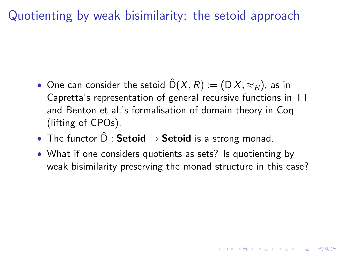Quotienting by weak bisimilarity: the setoid approach

- One can consider the setoid  $\hat{D}(X,R) := (D X, \approx_R)$ , as in Capretta's representation of general recursive functions in TT and Benton et al.'s formalisation of domain theory in Coq (lifting of CPOs).
- The functor  $\hat{D}$  : **Setoid**  $\rightarrow$  **Setoid** is a strong monad.
- What if one considers quotients as sets? Is quotienting by weak bisimilarity preserving the monad structure in this case?

**AD A 4 4 4 5 A 5 A 5 A 4 D A 4 D A 4 PM**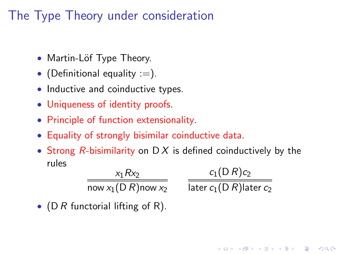## The Type Theory under consideration

- Martin-Löf Type Theory.
- (Definitional equality  $:=$ ).
- Inductive and coinductive types.
- Uniqueness of identity proofs.
- Principle of function extensionality.
- Equality of strongly bisimilar coinductive data.
- Strong R-bisimilarity on D X is defined coinductively by the rules

$$
\frac{x_1 R x_2}{\text{now } x_1 (D R)\text{now } x_2}
$$

 $c_1(D R) c_2$ later  $c_1(D R)$ later  $c_2$ 

• (D R functorial lifting of R).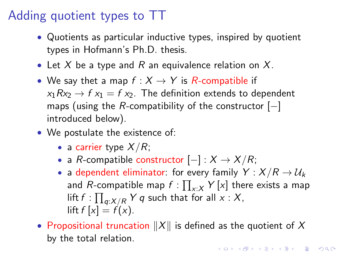## Adding quotient types to TT

- Quotients as particular inductive types, inspired by quotient types in Hofmann's Ph.D. thesis.
- Let X be a type and R an equivalence relation on X.
- We say thet a map  $f: X \rightarrow Y$  is R-compatible if  $x_1Rx_2 \rightarrow fx_1 = fx_2$ . The definition extends to dependent maps (using the R-compatibility of the constructor  $[-]$ introduced below).
- We postulate the existence of:
	- a carrier type  $X/R$ ;
	- a R-compatible constructor  $[-]: X \rightarrow X/R;$
	- a dependent eliminator: for every family  $Y : X/R \rightarrow \mathcal{U}_k$ and  $R$ -compatible map  $f:\prod_{x:X}Y\left[x\right]$  there exists a map lift  $f: \prod_{q:X/R} Y$   $q$  such that for all  $x$  :  $X$ ,  $\left| \int f(x) \right| = f(x)$ .
- Propositional truncation  $||X||$  is defined as the quotient of X by the total relation.KID KA KERKER E VOOR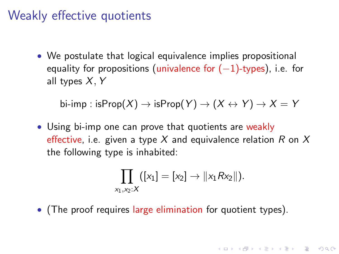#### Weakly effective quotients

• We postulate that logical equivalence implies propositional equality for propositions (univalence for  $(-1)$ -types), i.e. for all types X, Y

bi-imp : isProp $(X) \to$  isProp $(Y) \to (X \leftrightarrow Y) \to X = Y$ 

• Using bi-imp one can prove that quotients are weakly effective, i.e. given a type X and equivalence relation R on X the following type is inhabited:

$$
\prod_{x_1,x_2:X}([x_1]=[x_2]\to ||x_1Rx_2||).
$$

**KORKAR KERKER EL VOLO** 

• (The proof requires large elimination for quotient types).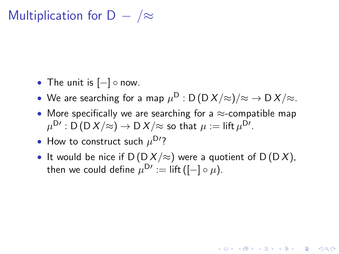Multiplication for D  $-$  / $\approx$ 

- The unit is  $[-] \circ \text{now}$ .
- $\bullet\,$  We are searching for a map  $\mu^{\mathsf{D}}$  : D (D  $\mathcal{X}/\!\!\approx\!\mathcal{Y}/\mathcal{\approx}\to$  D  $\mathcal{X}/\!\!\approx\!$
- More specifically we are searching for a  $\approx$ -compatible map  $\mu^{\mathsf{D}\prime}:\mathsf{D}\,(\mathsf{D}\,X/\mathord{\approx}) \to \mathsf{D}\,X/\mathord{\approx}$  so that  $\mu\coloneqq$  lift  $\mu^{\mathsf{D}\prime}.$
- How to construct such  $\mu^{\mathsf{D}'}$ ?
- It would be nice if  $D(D X / \approx)$  were a quotient of  $D(D X)$ , then we could define  $\mu^{\mathsf{D}\prime}:=$  lift ([ $-$ ]  $\circ$   $\mu$ ).

**KORKAR KERKER EL VOLO**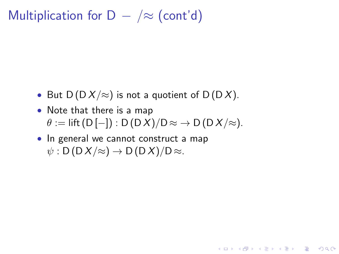Multiplication for  $D - \infty$  (cont'd)

- But  $D(D X / \approx)$  is not a quotient of  $D(D X)$ .
- Note that there is a map  $\theta := \text{lift}(D[-]) : D(DX)/D \approx \rightarrow D(DX/\approx).$

**KORK ERKER ADE YOUR** 

• In general we cannot construct a map  $\psi$  : D(DX/ $\approx$ )  $\rightarrow$  D(DX)/D $\approx$ .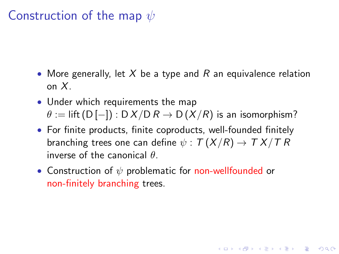### Construction of the map  $\psi$

- More generally, let  $X$  be a type and R an equivalence relation on X.
- Under which requirements the map  $\theta := \text{lift}(D[-]) : D \times / D R \rightarrow D \times / R$  is an isomorphism?
- For finite products, finite coproducts, well-founded finitely branching trees one can define  $\psi : \mathcal{T}(X/R) \to \mathcal{T} X/\mathcal{T} R$ inverse of the canonical  $\theta$ .

**KORK ERKER ADE YOUR** 

• Construction of  $\psi$  problematic for non-wellfounded or non-finitely branching trees.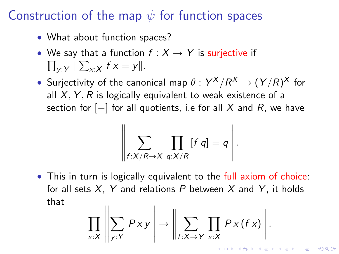### Construction of the map  $\psi$  for function spaces

- What about function spaces?
- We say that a function  $f: X \rightarrow Y$  is surjective if  $\prod_{y:Y}$   $\|\sum_{x:X} f x = y\|.$
- Surjectivity of the canonical map  $\theta: Y^X/R^X \to (Y/R)^X$  for all  $X, Y, R$  is logically equivalent to weak existence of a section for  $[-]$  for all quotients, i.e for all X and R, we have

$$
\left\|\sum_{f:X/R\to X}\prod_{q:X/R}[f\,q]=q\right\|.
$$

• This in turn is logically equivalent to the full axiom of choice: for all sets  $X$ , Y and relations P between X and Y, it holds that

$$
\prod_{x:X} \left\| \sum_{y:Y} P xy \right\| \to \left\| \sum_{f:X\to Y} \prod_{x:X} P x (f x) \right\|.
$$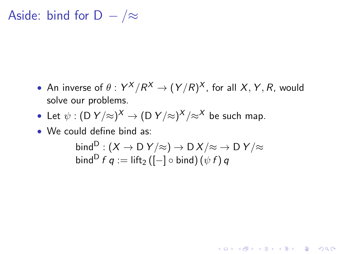Aside: bind for D  $-$  / $\approx$ 

- An inverse of  $\theta: Y^X/R^X \to (Y/R)^X$ , for all  $X, Y, R$ , would solve our problems.
- Let  $\psi : (\mathsf{D}\; Y/\mathbb{h})^X \to (\mathsf{D}\; Y/\mathbb{h})^X/\mathbb{h}^X$  be such map.
- We could define bind as:

$$
\text{bind}^{\mathsf{D}} : (X \to \mathsf{D} \ Y/\approx) \to \mathsf{D} \ X/\approx \to \mathsf{D} \ Y/\approx
$$
  

$$
\text{bind}^{\mathsf{D}} f q := \text{lift}_2 ([-] \circ \text{bind}) (\psi f) q
$$

K ロ ▶ K @ ▶ K 할 > K 할 > 1 할 > 1 이익어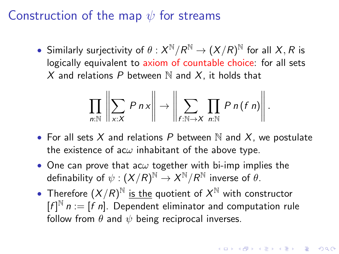#### Construction of the map  $\psi$  for streams

• Similarly surjectivity of  $\theta: X^{\mathbb{N}}/R^{\mathbb{N}} \to (X/R)^{\mathbb{N}}$  for all  $X,R$  is logically equivalent to axiom of countable choice: for all sets X and relations P between  $\mathbb N$  and X, it holds that

$$
\prod_{n:\mathbb{N}}\left\|\sum_{x:X} P\,n\,x\right\| \to \left\|\sum_{f:\mathbb{N}\to X}\prod_{n:\mathbb{N}} P\,n\,(f\,n)\right\|.
$$

- For all sets X and relations P between N and X, we postulate the existence of ac $\omega$  inhabitant of the above type.
- One can prove that ac $\omega$  together with bi-imp implies the definability of  $\psi: (X/R)^{\mathbb{N}} \to X^{\mathbb{N}}/R^{\mathbb{N}}$  inverse of  $\theta.$
- Therefore  $(X/R)^{\mathbb{N}}$  is the quotient of  $X^{\mathbb{N}}$  with constructor  $[f]^{N}$   $n := [f \; n]$ . Dependent eliminator and computation rule follow from  $\theta$  and  $\psi$  being reciprocal inverses.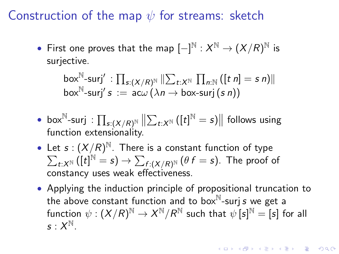Construction of the map  $\psi$  for streams: sketch

 $\bullet \,\,$  First one proves that the map  $[-]^{\mathbb{N}}:X^{\mathbb{N}}\to (X/R)^{\mathbb{N}}$  is surjective.

$$
\text{box}^{\mathbb{N}}\text{-}\text{surj}' : \prod_{s:(X/R)^{\mathbb{N}}} \|\sum_{t:X^{\mathbb{N}}}\prod_{n:\mathbb{N}}\left(\begin{bmatrix}t\ n\end{bmatrix}=s\ n\right)\|
$$
  

$$
\text{box}^{\mathbb{N}}\text{-}\text{surj}'s := \text{ac}\omega\left(\lambda n \to \text{box-surj}\left(s\ n\right)\right)
$$

- box<sup>N</sup>-surj :  $\prod_{s:(X/R)^{\mathbb{N}}} \left\| \sum_{t:X^{\mathbb{N}}} ([t]^{\mathbb{N}} = s) \right\|$  follows using function extensionality.
- Let  $s:(X/R)^{\mathbb{N}}$ . There is a constant function of type  $\sum_{t:X^{\Bbb{N}}}\big([t]^{\Bbb{N}}=s\big)\rightarrow\sum_{f:\left(X/R\right)^{\Bbb{N}}}\left(\theta\,f=s\right).$  The proof of constancy uses weak effectiveness.
- Applying the induction principle of propositional truncation to the above constant function and to box $^{\mathbb{N}}$ -surjs we get a function  $\psi:(X/R)^{\mathbb N}\to X^{\mathbb N}/R^{\mathbb N}$  such that  $\psi\, [\mathsf{s}]^{\mathbb N} = [\mathsf{s}]$  for all  $s: X^{\mathbb{N}}.$

**AD A 4 4 4 5 A 5 A 5 A 4 D A 4 D A 4 P A 4 5 A 4 5 A 5 A 4 A 4 A 4 A**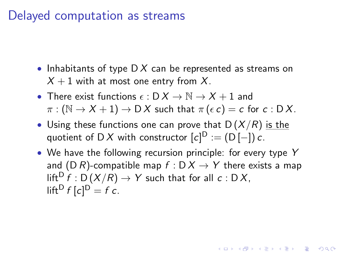#### Delayed computation as streams

- Inhabitants of type  $DX$  can be represented as streams on  $X + 1$  with at most one entry from X.
- There exist functions  $\epsilon : D X \to \mathbb{N} \to X + 1$  and  $\pi : (\mathbb{N} \to X + 1) \to \mathsf{D} X$  such that  $\pi(\epsilon c) = c$  for  $c : \mathsf{D} X$ .
- Using these functions one can prove that  $D(X/R)$  is the quotient of D X with constructor  $[c]^{\mathrm{D}}:=(\mathsf{D}\left[-\right])$   $c$ .
- We have the following recursion principle: for every type Y and (D R)-compatible map  $f : D X \rightarrow Y$  there exists a map  $lift^D f : D(X/R) \rightarrow Y$  such that for all  $c : D X$ , lift<sup>D</sup>  $f$   $[c]$ <sup>D</sup> =  $f$   $c$ .

**KORKAR KERKER EL VOLO**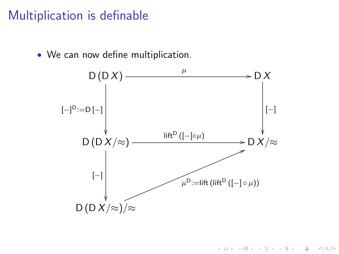#### Multiplication is definable

• We can now define multiplication.



K ロ ▶ K @ ▶ K 할 > K 할 > 1 할 > 1 이익어